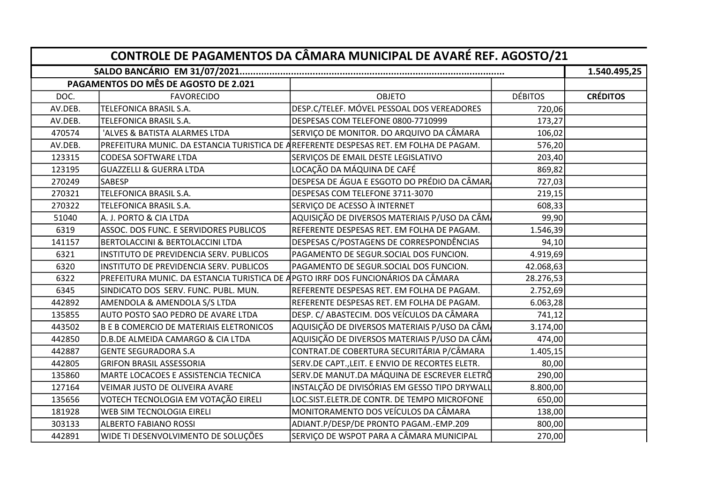| CONTROLE DE PAGAMENTOS DA CÂMARA MUNICIPAL DE AVARÉ REF. AGOSTO/21 |                                                                                  |                                                                                        |                |                 |  |  |
|--------------------------------------------------------------------|----------------------------------------------------------------------------------|----------------------------------------------------------------------------------------|----------------|-----------------|--|--|
|                                                                    |                                                                                  |                                                                                        |                |                 |  |  |
|                                                                    | PAGAMENTOS DO MÊS DE AGOSTO DE 2.021                                             |                                                                                        |                |                 |  |  |
| DOC.                                                               | <b>FAVORECIDO</b>                                                                | <b>OBJETO</b>                                                                          | <b>DÉBITOS</b> | <b>CRÉDITOS</b> |  |  |
| AV.DEB.                                                            | TELEFONICA BRASIL S.A.                                                           | DESP.C/TELEF. MÓVEL PESSOAL DOS VEREADORES                                             | 720,06         |                 |  |  |
| AV.DEB.                                                            | TELEFONICA BRASIL S.A.                                                           | DESPESAS COM TELEFONE 0800-7710999                                                     | 173,27         |                 |  |  |
| 470574                                                             | 'ALVES & BATISTA ALARMES LTDA                                                    | SERVIÇO DE MONITOR. DO ARQUIVO DA CÂMARA                                               | 106,02         |                 |  |  |
| AV.DEB.                                                            |                                                                                  | PREFEITURA MUNIC. DA ESTANCIA TURISTICA DE AREFERENTE DESPESAS RET. EM FOLHA DE PAGAM. | 576,20         |                 |  |  |
| 123315                                                             | <b>CODESA SOFTWARE LTDA</b>                                                      | SERVIÇOS DE EMAIL DESTE LEGISLATIVO                                                    | 203,40         |                 |  |  |
| 123195                                                             | <b>GUAZZELLI &amp; GUERRA LTDA</b>                                               | LOCAÇÃO DA MÁQUINA DE CAFÉ                                                             | 869,82         |                 |  |  |
| 270249                                                             | <b>SABESP</b>                                                                    | DESPESA DE ÁGUA E ESGOTO DO PRÉDIO DA CÂMAR                                            | 727,03         |                 |  |  |
| 270321                                                             | <b>TELEFONICA BRASIL S.A.</b>                                                    | DESPESAS COM TELEFONE 3711-3070                                                        | 219,15         |                 |  |  |
| 270322                                                             | TELEFONICA BRASIL S.A.                                                           | SERVIÇO DE ACESSO À INTERNET                                                           | 608,33         |                 |  |  |
| 51040                                                              | A. J. PORTO & CIA LTDA                                                           | AQUISIÇÃO DE DIVERSOS MATERIAIS P/USO DA CÂM                                           | 99,90          |                 |  |  |
| 6319                                                               | ASSOC. DOS FUNC. E SERVIDORES PUBLICOS                                           | REFERENTE DESPESAS RET. EM FOLHA DE PAGAM.                                             | 1.546,39       |                 |  |  |
| 141157                                                             | BERTOLACCINI & BERTOLACCINI LTDA                                                 | DESPESAS C/POSTAGENS DE CORRESPONDÊNCIAS                                               | 94,10          |                 |  |  |
| 6321                                                               | INSTITUTO DE PREVIDENCIA SERV. PUBLICOS                                          | PAGAMENTO DE SEGUR.SOCIAL DOS FUNCION.                                                 | 4.919,69       |                 |  |  |
| 6320                                                               | INSTITUTO DE PREVIDENCIA SERV. PUBLICOS                                          | PAGAMENTO DE SEGUR.SOCIAL DOS FUNCION.                                                 | 42.068,63      |                 |  |  |
| 6322                                                               | PREFEITURA MUNIC. DA ESTANCIA TURISTICA DE APGTO IRRF DOS FUNCIONÁRIOS DA CÂMARA |                                                                                        | 28.276,53      |                 |  |  |
| 6345                                                               | SINDICATO DOS SERV. FUNC. PUBL. MUN.                                             | REFERENTE DESPESAS RET. EM FOLHA DE PAGAM.                                             | 2.752,69       |                 |  |  |
| 442892                                                             | <b>AMENDOLA &amp; AMENDOLA S/S LTDA</b>                                          | REFERENTE DESPESAS RET. EM FOLHA DE PAGAM.                                             | 6.063,28       |                 |  |  |
| 135855                                                             | AUTO POSTO SAO PEDRO DE AVARE LTDA                                               | DESP. C/ ABASTECIM. DOS VEÍCULOS DA CÂMARA                                             | 741,12         |                 |  |  |
| 443502                                                             | <b>B E B COMERCIO DE MATERIAIS ELETRONICOS</b>                                   | AQUISIÇÃO DE DIVERSOS MATERIAIS P/USO DA CÂM                                           | 3.174,00       |                 |  |  |
| 442850                                                             | D.B.DE ALMEIDA CAMARGO & CIA LTDA                                                | AQUISIÇÃO DE DIVERSOS MATERIAIS P/USO DA CÂMA                                          | 474,00         |                 |  |  |
| 442887                                                             | <b>GENTE SEGURADORA S.A</b>                                                      | CONTRAT.DE COBERTURA SECURITÁRIA P/CÂMARA                                              | 1.405,15       |                 |  |  |
| 442805                                                             | <b>GRIFON BRASIL ASSESSORIA</b>                                                  | SERV.DE CAPT., LEIT. E ENVIO DE RECORTES ELETR.                                        | 80,00          |                 |  |  |
| 135860                                                             | MARTE LOCACOES E ASSISTENCIA TECNICA                                             | SERV.DE MANUT.DA MÁQUINA DE ESCREVER ELETRÔ                                            | 290,00         |                 |  |  |
| 127164                                                             | VEIMAR JUSTO DE OLIVEIRA AVARE                                                   | INSTALÇÃO DE DIVISÓRIAS EM GESSO TIPO DRYWALL                                          | 8.800,00       |                 |  |  |
| 135656                                                             | VOTECH TECNOLOGIA EM VOTAÇÃO EIRELI                                              | LOC.SIST.ELETR.DE CONTR. DE TEMPO MICROFONE                                            | 650,00         |                 |  |  |
| 181928                                                             | WEB SIM TECNOLOGIA EIRELI                                                        | MONITORAMENTO DOS VEÍCULOS DA CÂMARA                                                   | 138,00         |                 |  |  |
| 303133                                                             | <b>ALBERTO FABIANO ROSSI</b>                                                     | ADIANT.P/DESP/DE PRONTO PAGAM.-EMP.209                                                 | 800,00         |                 |  |  |
| 442891                                                             | WIDE TI DESENVOLVIMENTO DE SOLUÇÕES                                              | SERVIÇO DE WSPOT PARA A CÂMARA MUNICIPAL                                               | 270,00         |                 |  |  |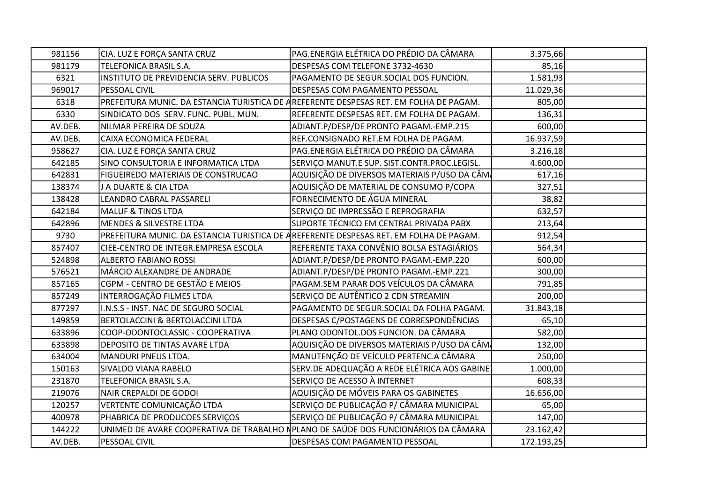| 981156  | CIA. LUZ E FORÇA SANTA CRUZ                 | PAG.ENERGIA ELÉTRICA DO PRÉDIO DA CÂMARA                                               | 3.375,66   |  |
|---------|---------------------------------------------|----------------------------------------------------------------------------------------|------------|--|
| 981179  | TELEFONICA BRASIL S.A.                      | DESPESAS COM TELEFONE 3732-4630                                                        | 85,16      |  |
| 6321    | INSTITUTO DE PREVIDENCIA SERV. PUBLICOS     | PAGAMENTO DE SEGUR.SOCIAL DOS FUNCION.                                                 | 1.581,93   |  |
| 969017  | PESSOAL CIVIL                               | DESPESAS COM PAGAMENTO PESSOAL                                                         | 11.029,36  |  |
| 6318    |                                             | PREFEITURA MUNIC. DA ESTANCIA TURISTICA DE AREFERENTE DESPESAS RET. EM FOLHA DE PAGAM. | 805,00     |  |
| 6330    | SINDICATO DOS SERV. FUNC. PUBL. MUN.        | REFERENTE DESPESAS RET. EM FOLHA DE PAGAM.                                             | 136,31     |  |
| AV.DEB. | NILMAR PEREIRA DE SOUZA                     | ADIANT.P/DESP/DE PRONTO PAGAM.-EMP.215                                                 | 600,00     |  |
| AV.DEB. | CAIXA ECONOMICA FEDERAL                     | REF.CONSIGNADO RET.EM FOLHA DE PAGAM.                                                  | 16.937,59  |  |
| 958627  | CIA. LUZ E FORÇA SANTA CRUZ                 | PAG.ENERGIA ELÉTRICA DO PRÉDIO DA CÂMARA                                               | 3.216,18   |  |
| 642185  | SINO CONSULTORIA E INFORMATICA LTDA         | SERVIÇO MANUT.E SUP. SIST.CONTR.PROC.LEGISL.                                           | 4.600,00   |  |
| 642831  | <b>FIGUEIREDO MATERIAIS DE CONSTRUCAO</b>   | AQUISIÇÃO DE DIVERSOS MATERIAIS P/USO DA CÂMA                                          | 617,16     |  |
| 138374  | J A DUARTE & CIA LTDA                       | AQUISIÇÃO DE MATERIAL DE CONSUMO P/COPA                                                | 327,51     |  |
| 138428  | LEANDRO CABRAL PASSARELI                    | FORNECIMENTO DE ÁGUA MINERAL                                                           | 38,82      |  |
| 642184  | <b>MALUF &amp; TINOS LTDA</b>               | SERVIÇO DE IMPRESSÃO E REPROGRAFIA                                                     | 632,57     |  |
| 642896  | MENDES & SILVESTRE LTDA                     | SUPORTE TÉCNICO EM CENTRAL PRIVADA PABX                                                | 213,64     |  |
| 9730    |                                             | PREFEITURA MUNIC. DA ESTANCIA TURISTICA DE AREFERENTE DESPESAS RET. EM FOLHA DE PAGAM. | 912,54     |  |
| 857407  | CIEE-CENTRO DE INTEGR.EMPRESA ESCOLA        | REFERENTE TAXA CONVÊNIO BOLSA ESTAGIÁRIOS                                              | 564,34     |  |
| 524898  | <b>ALBERTO FABIANO ROSSI</b>                | ADIANT.P/DESP/DE PRONTO PAGAM.-EMP.220                                                 | 600,00     |  |
| 576521  | MÁRCIO ALEXANDRE DE ANDRADE                 | ADIANT.P/DESP/DE PRONTO PAGAM.-EMP.221                                                 | 300,00     |  |
| 857165  | CGPM - CENTRO DE GESTÃO E MEIOS             | PAGAM.SEM PARAR DOS VEÍCULOS DA CÂMARA                                                 | 791,85     |  |
| 857249  | INTERROGAÇÃO FILMES LTDA                    | SERVIÇO DE AUTÊNTICO 2 CDN STREAMIN                                                    | 200,00     |  |
| 877297  | I.N.S.S - INST. NAC DE SEGURO SOCIAL        | PAGAMENTO DE SEGUR.SOCIAL DA FOLHA PAGAM.                                              | 31.843,18  |  |
| 149859  | <b>BERTOLACCINI &amp; BERTOLACCINI LTDA</b> | DESPESAS C/POSTAGENS DE CORRESPONDÊNCIAS                                               | 65,10      |  |
| 633896  | COOP-ODONTOCLASSIC - COOPERATIVA            | PLANO ODONTOL.DOS FUNCION. DA CÂMARA                                                   | 582,00     |  |
| 633898  | DEPOSITO DE TINTAS AVARE LTDA               | AQUISIÇÃO DE DIVERSOS MATERIAIS P/USO DA CÂM                                           | 132,00     |  |
| 634004  | MANDURI PNEUS LTDA.                         | MANUTENÇÃO DE VEÍCULO PERTENC.A CÂMARA                                                 | 250,00     |  |
| 150163  | SIVALDO VIANA RABELO                        | SERV.DE ADEQUAÇÃO A REDE ELÉTRICA AOS GABINE                                           | 1.000,00   |  |
| 231870  | TELEFONICA BRASIL S.A.                      | SERVIÇO DE ACESSO À INTERNET                                                           | 608,33     |  |
| 219076  | NAIR CREPALDI DE GODOI                      | AQUISIÇÃO DE MÓVEIS PARA OS GABINETES                                                  | 16.656,00  |  |
| 120257  | VERTENTE COMUNICAÇÃO LTDA                   | SERVIÇO DE PUBLICAÇÃO P/ CÂMARA MUNICIPAL                                              | 65,00      |  |
| 400978  | PHABRICA DE PRODUCOES SERVIÇOS              | SERVIÇO DE PUBLICAÇÃO P/ CÂMARA MUNICIPAL                                              | 147,00     |  |
| 144222  |                                             | UNIMED DE AVARE COOPERATIVA DE TRABALHO NPLANO DE SAÚDE DOS FUNCIONÁRIOS DA CÂMARA     | 23.162,42  |  |
| AV.DEB. | PESSOAL CIVIL                               | DESPESAS COM PAGAMENTO PESSOAL                                                         | 172.193,25 |  |